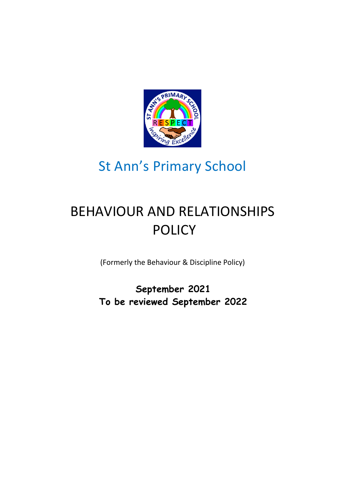

# St Ann's Primary School

# BEHAVIOUR AND RELATIONSHIPS POLICY

(Formerly the Behaviour & Discipline Policy)

**September 2021 To be reviewed September 2022**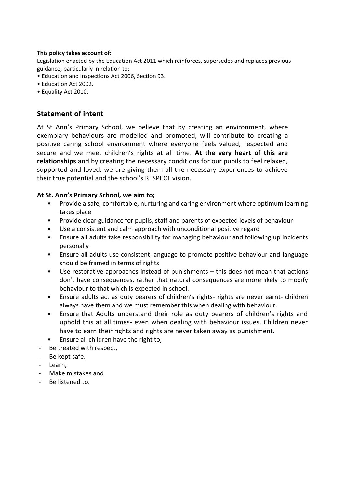#### **This policy takes account of:**

Legislation enacted by the Education Act 2011 which reinforces, supersedes and replaces previous guidance, particularly in relation to:

- Education and Inspections Act 2006, Section 93.
- Education Act 2002.
- Equality Act 2010.

# **Statement of intent**

At St Ann's Primary School, we believe that by creating an environment, where exemplary behaviours are modelled and promoted, will contribute to creating a positive caring school environment where everyone feels valued, respected and secure and we meet children's rights at all time. **At the very heart of this are relationships** and by creating the necessary conditions for our pupils to feel relaxed, supported and loved, we are giving them all the necessary experiences to achieve their true potential and the school's RESPECT vision.

#### **At St. Ann's Primary School, we aim to;**

- Provide a safe, comfortable, nurturing and caring environment where optimum learning takes place
- Provide clear guidance for pupils, staff and parents of expected levels of behaviour
- Use a consistent and calm approach with unconditional positive regard
- Ensure all adults take responsibility for managing behaviour and following up incidents personally
- Ensure all adults use consistent language to promote positive behaviour and language should be framed in terms of rights
- Use restorative approaches instead of punishments this does not mean that actions don't have consequences, rather that natural consequences are more likely to modify behaviour to that which is expected in school.
- Ensure adults act as duty bearers of children's rights- rights are never earnt- children always have them and we must remember this when dealing with behaviour.
- Ensure that Adults understand their role as duty bearers of children's rights and uphold this at all times- even when dealing with behaviour issues. Children never have to earn their rights and rights are never taken away as punishment.
- Ensure all children have the right to;
- Be treated with respect,
- Be kept safe,
- Learn,
- Make mistakes and
- Be listened to.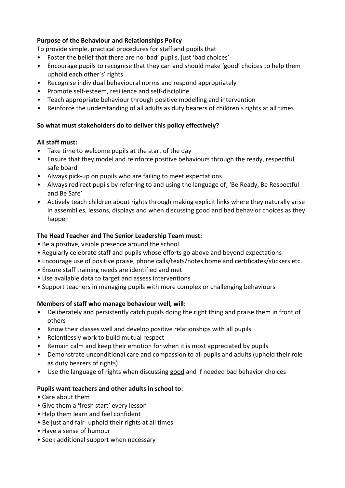# **Purpose of the Behaviour and Relationships Policy**

To provide simple, practical procedures for staff and pupils that

- Foster the belief that there are no 'bad' pupils, just 'bad choices'
- Encourage pupils to recognise that they can and should make 'good' choices to help them uphold each other's' rights
- Recognise individual behavioural norms and respond appropriately
- Promote self-esteem, resilience and self-discipline
- Teach appropriate behaviour through positive modelling and intervention
- Reinforce the understanding of all adults as duty bearers of children's rights at all times

### **So what must stakeholders do to deliver this policy effectively?**

### **All staff must:**

- Take time to welcome pupils at the start of the day
- Ensure that they model and reinforce positive behaviours through the ready, respectful, safe board
- Always pick-up on pupils who are failing to meet expectations
- Always redirect pupils by referring to and using the language of; 'Be Ready, Be Respectful and Be Safe'
- Actively teach children about rights through making explicit links where they naturally arise in assemblies, lessons, displays and when discussing good and bad behavior choices as they happen

# **The Head Teacher and The Senior Leadership Team must:**

- Be a positive, visible presence around the school
- Regularly celebrate staff and pupils whose efforts go above and beyond expectations
- Encourage use of positive praise, phone calls/texts/notes home and certificates/stickers etc.
- Ensure staff training needs are identified and met
- Use available data to target and assess interventions
- Support teachers in managing pupils with more complex or challenging behaviours

### **Members of staff who manage behaviour well, will:**

- Deliberately and persistently catch pupils doing the right thing and praise them in front of others
- Know their classes well and develop positive relationships with all pupils
- Relentlessly work to build mutual respect
- Remain calm and keep their emotion for when it is most appreciated by pupils
- Demonstrate unconditional care and compassion to all pupils and adults (uphold their role as duty bearers of rights)
- Use the language of rights when discussing good and if needed bad behavior choices

### **Pupils want teachers and other adults in school to:**

- Care about them
- Give them a 'fresh start' every lesson
- Help them learn and feel confident
- Be just and fair- uphold their rights at all times
- Have a sense of humour
- Seek additional support when necessary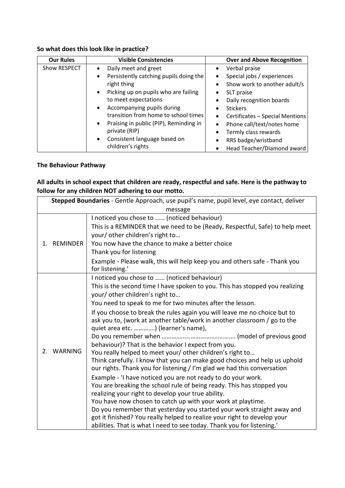# **So what does this look like in practice?**

| <b>Our Rules</b> | <b>Visible Consistencies</b>                        | <b>Over and Above Recognition</b>            |
|------------------|-----------------------------------------------------|----------------------------------------------|
| Show RESPECT     | Daily meet and greet                                | Verbal praise<br>$\bullet$                   |
|                  | Persistently catching pupils doing the<br>$\bullet$ | Special jobs / experiences<br>$\bullet$      |
|                  | right thing                                         | Show work to another adult/s<br>$\bullet$    |
|                  | Picking up on pupils who are failing<br>$\bullet$   | SLT praise<br>٠                              |
|                  | to meet expectations                                | Daily recognition boards<br>$\bullet$        |
|                  | Accompanying pupils during<br>$\bullet$             | <b>Stickers</b><br>$\bullet$                 |
|                  | transition from home to school times                | Certificates - Special Mentions<br>$\bullet$ |
|                  | • Praising in public (PIP), Reminding in            | Phone call/text/notes home<br>$\bullet$      |
|                  | private (RIP)                                       | Termly class rewards<br>$\bullet$            |
|                  | Consistent language based on                        | RRS badge/wristband<br>$\bullet$             |
|                  | children's rights                                   | Head Teacher/Diamond award                   |

# **The Behaviour Pathway**

# **All adults in school expect that children are ready, respectful and safe. Here is the pathway to follow for any children NOT adhering to our motto.**

| Stepped Boundaries - Gentle Approach, use pupil's name, pupil level, eye contact, deliver |                                                                                                                                        |  |
|-------------------------------------------------------------------------------------------|----------------------------------------------------------------------------------------------------------------------------------------|--|
| message                                                                                   |                                                                                                                                        |  |
| 1. REMINDER                                                                               | I noticed you chose to  (noticed behaviour)                                                                                            |  |
|                                                                                           | This is a REMINDER that we need to be (Ready, Respectful, Safe) to help meet                                                           |  |
|                                                                                           | your/ other children's right to                                                                                                        |  |
|                                                                                           | You now have the chance to make a better choice                                                                                        |  |
|                                                                                           | Thank you for listening                                                                                                                |  |
|                                                                                           | Example - Please walk, this will help keep you and others safe - Thank you<br>for listening.'                                          |  |
| 2. WARNING                                                                                | I noticed you chose to  (noticed behaviour)                                                                                            |  |
|                                                                                           | This is the second time I have spoken to you. This has stopped you realizing                                                           |  |
|                                                                                           | your/ other children's right to                                                                                                        |  |
|                                                                                           | You need to speak to me for two minutes after the lesson.                                                                              |  |
|                                                                                           | If you choose to break the rules again you will leave me no choice but to                                                              |  |
|                                                                                           | ask you to, (work at another table/work in another classroom / go to the                                                               |  |
|                                                                                           | quiet area etc. ) (learner's name),                                                                                                    |  |
|                                                                                           |                                                                                                                                        |  |
|                                                                                           | behaviour)? That is the behavior I expect from you.                                                                                    |  |
|                                                                                           | You really helped to meet your/ other children's right to<br>Think carefully. I know that you can make good choices and help us uphold |  |
|                                                                                           | our rights. Thank you for listening / I'm glad we had this conversation                                                                |  |
|                                                                                           | Example - 'I have noticed you are not ready to do your work.                                                                           |  |
|                                                                                           | You are breaking the school rule of being ready. This has stopped you                                                                  |  |
|                                                                                           | realizing your right to develop your true ability.                                                                                     |  |
|                                                                                           | You have now chosen to catch up with your work at playtime.                                                                            |  |
|                                                                                           | Do you remember that yesterday you started your work straight away and                                                                 |  |
|                                                                                           | got it finished? You really helped to realize your right to develop your                                                               |  |
|                                                                                           | abilities. That is what I need to see today. Thank you for listening.'                                                                 |  |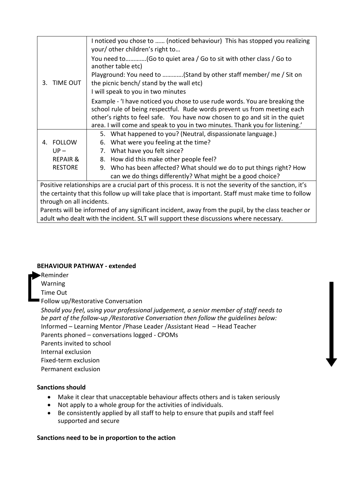|                                                                                                         | I noticed you chose to  (noticed behaviour) This has stopped you realizing<br>your/ other children's right to |  |
|---------------------------------------------------------------------------------------------------------|---------------------------------------------------------------------------------------------------------------|--|
|                                                                                                         | You need to(Go to quiet area / Go to sit with other class / Go to<br>another table etc)                       |  |
|                                                                                                         | Playground: You need to (Stand by other staff member/ me / Sit on                                             |  |
| <b>TIME OUT</b><br>3.                                                                                   | the picnic bench/ stand by the wall etc)                                                                      |  |
|                                                                                                         | I will speak to you in two minutes                                                                            |  |
|                                                                                                         | Example - 'I have noticed you chose to use rude words. You are breaking the                                   |  |
|                                                                                                         | school rule of being respectful. Rude words prevent us from meeting each                                      |  |
|                                                                                                         | other's rights to feel safe. You have now chosen to go and sit in the quiet                                   |  |
|                                                                                                         | area. I will come and speak to you in two minutes. Thank you for listening.'                                  |  |
|                                                                                                         | 5. What happened to you? (Neutral, dispassionate language.)                                                   |  |
| 4. FOLLOW                                                                                               | 6. What were you feeling at the time?                                                                         |  |
| $UP -$                                                                                                  | 7. What have you felt since?                                                                                  |  |
| <b>REPAIR &amp;</b>                                                                                     | 8. How did this make other people feel?                                                                       |  |
| <b>RESTORE</b>                                                                                          | 9. Who has been affected? What should we do to put things right? How                                          |  |
|                                                                                                         | can we do things differently? What might be a good choice?                                                    |  |
| Positive relationships are a crucial part of this process. It is not the severity of the sanction, it's |                                                                                                               |  |
|                                                                                                         | the certainty that this follow up will take place that is important. Staff must make time to follow           |  |
| through on all incidents.                                                                               |                                                                                                               |  |
| Parents will be informed of any significant incident, away from the pupil, by the class teacher or      |                                                                                                               |  |

adult who dealt with the incident. SLT will support these discussions where necessary.

#### **BEHAVIOUR PATHWAY - extended**

Reminder Warning Time Out Follow up/Restorative Conversation *Should you feel, using your professional judgement, a senior member of staff needs to be part of the follow-up /Restorative Conversation then follow the guidelines below:* Informed – Learning Mentor /Phase Leader /Assistant Head – Head Teacher Parents phoned – conversations logged - CPOMs Parents invited to school Internal exclusion Fixed-term exclusion Permanent exclusion

#### **Sanctions should**

- Make it clear that unacceptable behaviour affects others and is taken seriously
- Not apply to a whole group for the activities of individuals.
- Be consistently applied by all staff to help to ensure that pupils and staff feel supported and secure

### **Sanctions need to be in proportion to the action**